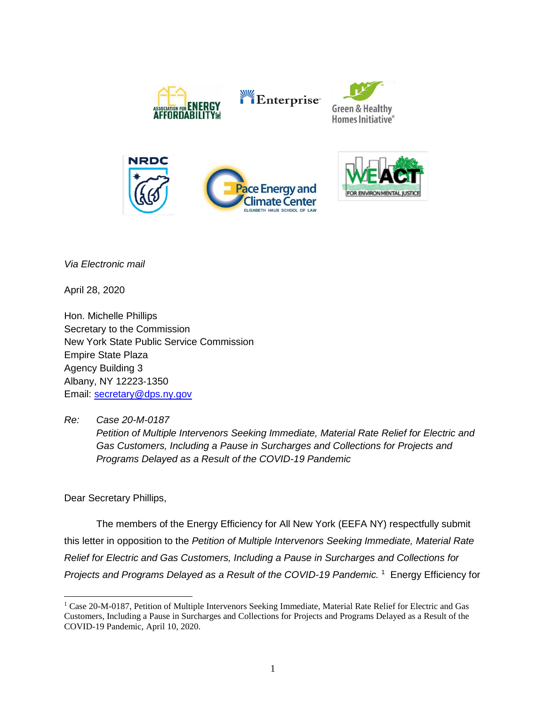

Enterprise







*Via Electronic mail*

April 28, 2020

Hon. Michelle Phillips Secretary to the Commission New York State Public Service Commission Empire State Plaza Agency Building 3 Albany, NY 12223‐1350 Email: [secretary@dps.ny.gov](mailto:secretary@dps.ny.gov)

*Re: Case 20-M-0187*

*Petition of Multiple Intervenors Seeking Immediate, Material Rate Relief for Electric and Gas Customers, Including a Pause in Surcharges and Collections for Projects and Programs Delayed as a Result of the COVID-19 Pandemic*

Dear Secretary Phillips,

The members of the Energy Efficiency for All New York (EEFA NY) respectfully submit this letter in opposition to the *Petition of Multiple Intervenors Seeking Immediate, Material Rate Relief for Electric and Gas Customers, Including a Pause in Surcharges and Collections for Projects and Programs Delayed as a Result of the COVID-19 Pandemic.* <sup>1</sup> Energy Efficiency for

<sup>&</sup>lt;sup>1</sup> Case 20-M-0187, Petition of Multiple Intervenors Seeking Immediate, Material Rate Relief for Electric and Gas Customers, Including a Pause in Surcharges and Collections for Projects and Programs Delayed as a Result of the COVID-19 Pandemic, April 10, 2020.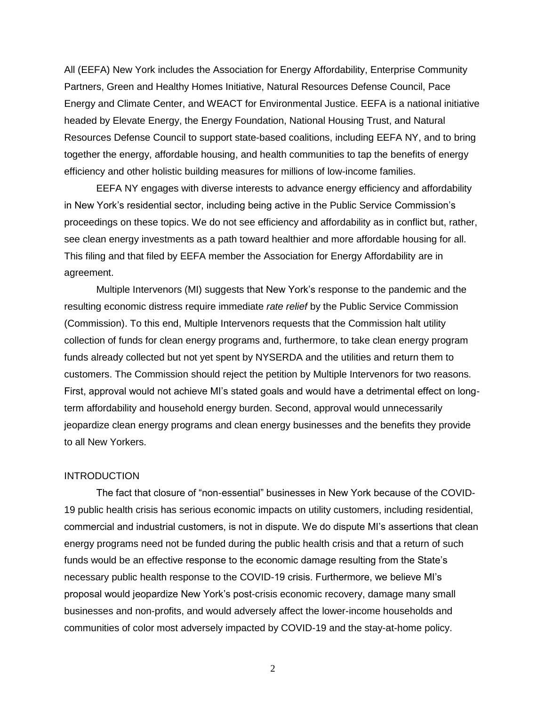All (EEFA) New York includes the Association for Energy Affordability, Enterprise Community Partners, Green and Healthy Homes Initiative, Natural Resources Defense Council, Pace Energy and Climate Center, and WEACT for Environmental Justice. EEFA is a national initiative headed by Elevate Energy, the Energy Foundation, National Housing Trust, and Natural Resources Defense Council to support state-based coalitions, including EEFA NY, and to bring together the energy, affordable housing, and health communities to tap the benefits of energy efficiency and other holistic building measures for millions of low-income families.

EEFA NY engages with diverse interests to advance energy efficiency and affordability in New York's residential sector, including being active in the Public Service Commission's proceedings on these topics. We do not see efficiency and affordability as in conflict but, rather, see clean energy investments as a path toward healthier and more affordable housing for all. This filing and that filed by EEFA member the Association for Energy Affordability are in agreement.

Multiple Intervenors (MI) suggests that New York's response to the pandemic and the resulting economic distress require immediate *rate relief* by the Public Service Commission (Commission). To this end, Multiple Intervenors requests that the Commission halt utility collection of funds for clean energy programs and, furthermore, to take clean energy program funds already collected but not yet spent by NYSERDA and the utilities and return them to customers. The Commission should reject the petition by Multiple Intervenors for two reasons. First, approval would not achieve MI's stated goals and would have a detrimental effect on longterm affordability and household energy burden. Second, approval would unnecessarily jeopardize clean energy programs and clean energy businesses and the benefits they provide to all New Yorkers.

## **INTRODUCTION**

The fact that closure of "non-essential" businesses in New York because of the COVID-19 public health crisis has serious economic impacts on utility customers, including residential, commercial and industrial customers, is not in dispute. We do dispute MI's assertions that clean energy programs need not be funded during the public health crisis and that a return of such funds would be an effective response to the economic damage resulting from the State's necessary public health response to the COVID-19 crisis. Furthermore, we believe MI's proposal would jeopardize New York's post-crisis economic recovery, damage many small businesses and non-profits, and would adversely affect the lower-income households and communities of color most adversely impacted by COVID-19 and the stay-at-home policy.

2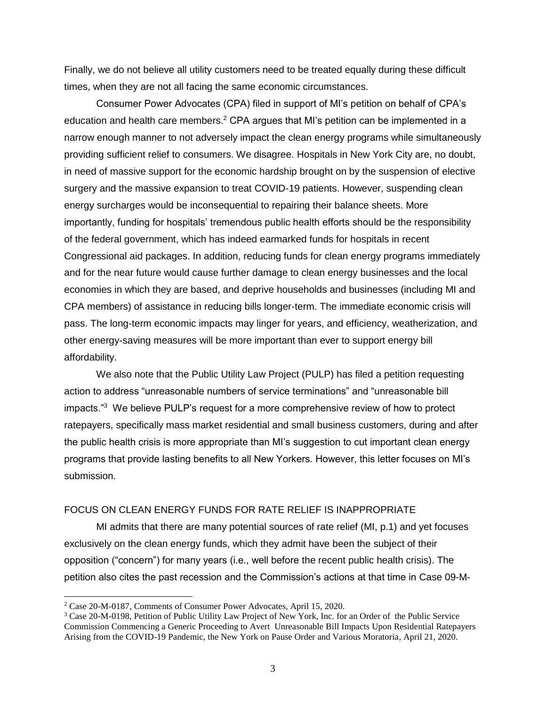Finally, we do not believe all utility customers need to be treated equally during these difficult times, when they are not all facing the same economic circumstances.

Consumer Power Advocates (CPA) filed in support of MI's petition on behalf of CPA's education and health care members.<sup>2</sup> CPA argues that MI's petition can be implemented in a narrow enough manner to not adversely impact the clean energy programs while simultaneously providing sufficient relief to consumers. We disagree. Hospitals in New York City are, no doubt, in need of massive support for the economic hardship brought on by the suspension of elective surgery and the massive expansion to treat COVID-19 patients. However, suspending clean energy surcharges would be inconsequential to repairing their balance sheets. More importantly, funding for hospitals' tremendous public health efforts should be the responsibility of the federal government, which has indeed earmarked funds for hospitals in recent Congressional aid packages. In addition, reducing funds for clean energy programs immediately and for the near future would cause further damage to clean energy businesses and the local economies in which they are based, and deprive households and businesses (including MI and CPA members) of assistance in reducing bills longer-term. The immediate economic crisis will pass. The long-term economic impacts may linger for years, and efficiency, weatherization, and other energy-saving measures will be more important than ever to support energy bill affordability.

We also note that the Public Utility Law Project (PULP) has filed a petition requesting action to address "unreasonable numbers of service terminations" and "unreasonable bill impacts."<sup>3</sup> We believe PULP's request for a more comprehensive review of how to protect ratepayers, specifically mass market residential and small business customers, during and after the public health crisis is more appropriate than MI's suggestion to cut important clean energy programs that provide lasting benefits to all New Yorkers. However, this letter focuses on MI's submission.

## FOCUS ON CLEAN ENERGY FUNDS FOR RATE RELIEF IS INAPPROPRIATE

MI admits that there are many potential sources of rate relief (MI, p.1) and yet focuses exclusively on the clean energy funds, which they admit have been the subject of their opposition ("concern") for many years (i.e., well before the recent public health crisis). The petition also cites the past recession and the Commission's actions at that time in Case 09-M-

<sup>2</sup> Case 20-M-0187, Comments of Consumer Power Advocates, April 15, 2020.

<sup>3</sup> Case 20-M-0198, Petition of Public Utility Law Project of New York, Inc. for an Order of the Public Service Commission Commencing a Generic Proceeding to Avert Unreasonable Bill Impacts Upon Residential Ratepayers Arising from the COVID-19 Pandemic, the New York on Pause Order and Various Moratoria, April 21, 2020.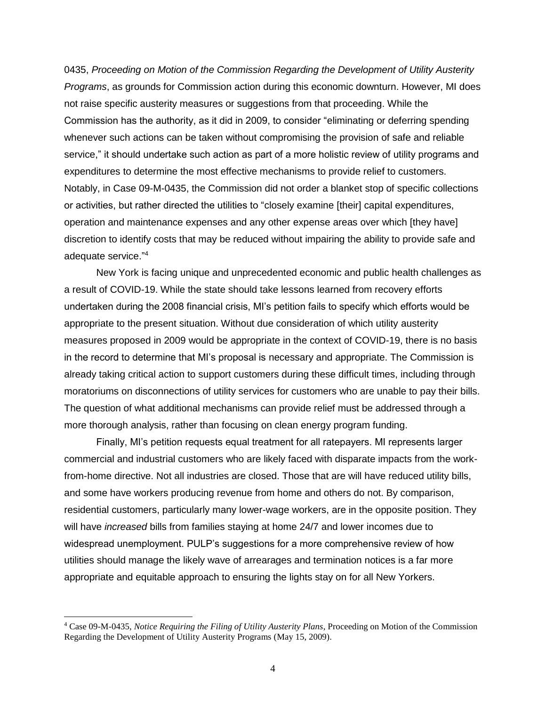0435, *Proceeding on Motion of the Commission Regarding the Development of Utility Austerity Programs*, as grounds for Commission action during this economic downturn. However, MI does not raise specific austerity measures or suggestions from that proceeding. While the Commission has the authority, as it did in 2009, to consider "eliminating or deferring spending whenever such actions can be taken without compromising the provision of safe and reliable service," it should undertake such action as part of a more holistic review of utility programs and expenditures to determine the most effective mechanisms to provide relief to customers. Notably, in Case 09-M-0435, the Commission did not order a blanket stop of specific collections or activities, but rather directed the utilities to "closely examine [their] capital expenditures, operation and maintenance expenses and any other expense areas over which [they have] discretion to identify costs that may be reduced without impairing the ability to provide safe and adequate service."<sup>4</sup>

New York is facing unique and unprecedented economic and public health challenges as a result of COVID-19. While the state should take lessons learned from recovery efforts undertaken during the 2008 financial crisis, MI's petition fails to specify which efforts would be appropriate to the present situation. Without due consideration of which utility austerity measures proposed in 2009 would be appropriate in the context of COVID-19, there is no basis in the record to determine that MI's proposal is necessary and appropriate. The Commission is already taking critical action to support customers during these difficult times, including through moratoriums on disconnections of utility services for customers who are unable to pay their bills. The question of what additional mechanisms can provide relief must be addressed through a more thorough analysis, rather than focusing on clean energy program funding.

Finally, MI's petition requests equal treatment for all ratepayers. MI represents larger commercial and industrial customers who are likely faced with disparate impacts from the workfrom-home directive. Not all industries are closed. Those that are will have reduced utility bills, and some have workers producing revenue from home and others do not. By comparison, residential customers, particularly many lower-wage workers, are in the opposite position. They will have *increased* bills from families staying at home 24/7 and lower incomes due to widespread unemployment. PULP's suggestions for a more comprehensive review of how utilities should manage the likely wave of arrearages and termination notices is a far more appropriate and equitable approach to ensuring the lights stay on for all New Yorkers.

<sup>4</sup> Case 09-M-0435, *Notice Requiring the Filing of Utility Austerity Plans*, Proceeding on Motion of the Commission Regarding the Development of Utility Austerity Programs (May 15, 2009).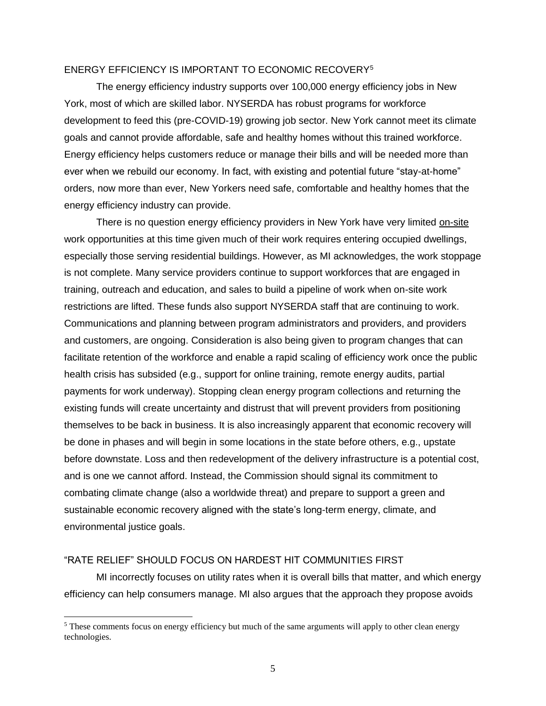## ENERGY EFFICIENCY IS IMPORTANT TO ECONOMIC RECOVERY<sup>5</sup>

The energy efficiency industry supports over 100,000 energy efficiency jobs in New York, most of which are skilled labor. NYSERDA has robust programs for workforce development to feed this (pre-COVID-19) growing job sector. New York cannot meet its climate goals and cannot provide affordable, safe and healthy homes without this trained workforce. Energy efficiency helps customers reduce or manage their bills and will be needed more than ever when we rebuild our economy. In fact, with existing and potential future "stay-at-home" orders, now more than ever, New Yorkers need safe, comfortable and healthy homes that the energy efficiency industry can provide.

There is no question energy efficiency providers in New York have very limited on-site work opportunities at this time given much of their work requires entering occupied dwellings, especially those serving residential buildings. However, as MI acknowledges, the work stoppage is not complete. Many service providers continue to support workforces that are engaged in training, outreach and education, and sales to build a pipeline of work when on-site work restrictions are lifted. These funds also support NYSERDA staff that are continuing to work. Communications and planning between program administrators and providers, and providers and customers, are ongoing. Consideration is also being given to program changes that can facilitate retention of the workforce and enable a rapid scaling of efficiency work once the public health crisis has subsided (e.g., support for online training, remote energy audits, partial payments for work underway). Stopping clean energy program collections and returning the existing funds will create uncertainty and distrust that will prevent providers from positioning themselves to be back in business. It is also increasingly apparent that economic recovery will be done in phases and will begin in some locations in the state before others, e.g., upstate before downstate. Loss and then redevelopment of the delivery infrastructure is a potential cost, and is one we cannot afford. Instead, the Commission should signal its commitment to combating climate change (also a worldwide threat) and prepare to support a green and sustainable economic recovery aligned with the state's long-term energy, climate, and environmental justice goals.

## "RATE RELIEF" SHOULD FOCUS ON HARDEST HIT COMMUNITIES FIRST

MI incorrectly focuses on utility rates when it is overall bills that matter, and which energy efficiency can help consumers manage. MI also argues that the approach they propose avoids

<sup>&</sup>lt;sup>5</sup> These comments focus on energy efficiency but much of the same arguments will apply to other clean energy technologies.